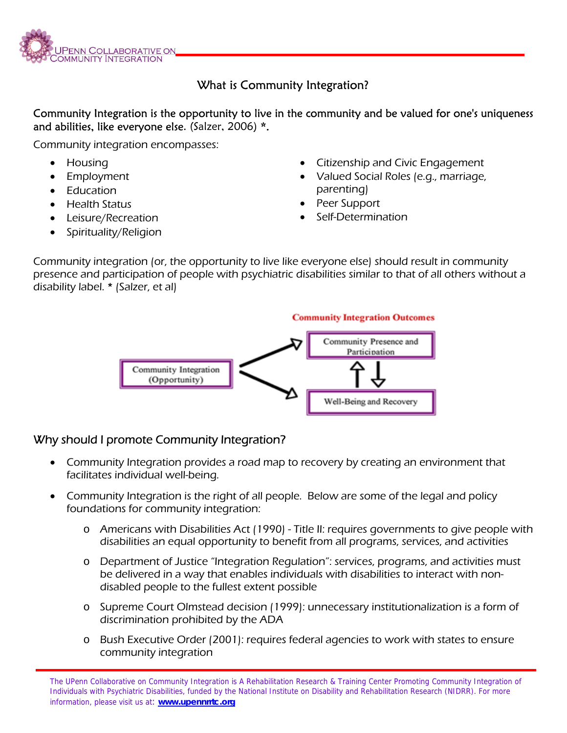

# What is Community Integration?

Community Integration is the opportunity to live in the community and be valued for one's uniqueness and abilities, like everyone else. (Salzer, 2006) \*.

Community integration encompasses:

- Housing
- **Employment**
- Education
- Health Status
- Leisure/Recreation
- Spirituality/Religion
- Citizenship and Civic Engagement
- Valued Social Roles (e.g., marriage, parenting)
- Peer Support
- Self-Determination

Community integration (or, the opportunity to live like everyone else) should result in community presence and participation of people with psychiatric disabilities similar to that of all others without a disability label. \* (Salzer, et al)



### Why should I promote Community Integration?

- Community Integration provides a road map to recovery by creating an environment that facilitates individual well-being.
- Community Integration is the right of all people. Below are some of the legal and policy foundations for community integration:
	- o Americans with Disabilities Act (1990) Title II: requires governments to give people with disabilities an equal opportunity to benefit from all programs, services, and activities
	- o Department of Justice "Integration Regulation": services, programs, and activities must be delivered in a way that enables individuals with disabilities to interact with nondisabled people to the fullest extent possible
	- o Supreme Court Olmstead decision (1999): unnecessary institutionalization is a form of discrimination prohibited by the ADA
	- o Bush Executive Order (2001): requires federal agencies to work with states to ensure community integration

The UPenn Collaborative on Community Integration is A Rehabilitation Research & Training Center Promoting Community Integration of Individuals with Psychiatric Disabilities, funded by the National Institute on Disability and Rehabilitation Research (NIDRR). For more information, please visit us at: **www.upennrrtc.org**